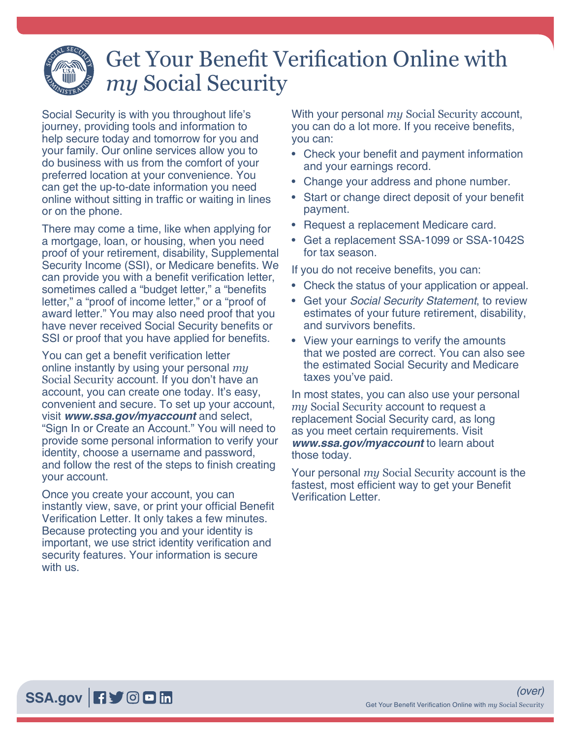## Get Your Benefit Verification Online with *my* Social Security

Social Security is with you throughout life's journey, providing tools and information to help secure today and tomorrow for you and your family. Our online services allow you to do business with us from the comfort of your preferred location at your convenience. You can get the up-to-date information you need online without sitting in traffic or waiting in lines or on the phone.

There may come a time, like when applying for a mortgage, loan, or housing, when you need proof of your retirement, disability, Supplemental Security Income (SSI), or Medicare benefits. We can provide you with a benefit verification letter, sometimes called a "budget letter," a "benefits letter," a "proof of income letter," or a "proof of award letter." You may also need proof that you have never received Social Security benefits or SSI or proof that you have applied for benefits.

You can get a benefit verification letter online instantly by using your personal *my* Social Security account. If you don't have an account, you can create one today. It's easy, convenient and secure. To set up your account, visit *[www.ssa.gov/myaccount](https://www.ssa.gov/myaccount/)* and select, "Sign In or Create an Account." You will need to provide some personal information to verify your identity, choose a username and password, and follow the rest of the steps to finish creating your account.

Once you create your account, you can instantly view, save, or print your official Benefit Verification Letter. It only takes a few minutes. Because protecting you and your identity is important, we use strict identity verification and security features. Your information is secure with us.

With your personal *my* Social Security account, you can do a lot more. If you receive benefits, you can:

- Check your benefit and payment information and your earnings record.
- [Change your address and phone number.](https://www.ssa.gov/hlp/mySSA/df-changeaddress.htm)
- [Start or change direct deposit](https://www.ssa.gov/hlp/mySSA/df-directdeposit.htm) of your benefit payment.
- Request a [replacement Medicare card](https://www.ssa.gov/hlp/mySSA/df-mrc.html).
- Get a [replacement SSA-1099 or SSA-1042S](https://www.ssa.gov/hlp/mySSA/df-1099.htm) for tax season.

If you do not receive benefits, you can:

- Check the status of your application or appeal.
- Get your *Social Security Statement*, to review estimates of your future retirement, disability, and survivors benefits.
- View your earnings to verify the amounts that we posted are correct. You can also see the estimated Social Security and Medicare taxes you've paid.

In most states, you can also use your personal *my* Social Security account to request a replacement Social Security card, as long as you meet certain requirements. Visit *[www.ssa.gov/myaccount](https://www.ssa.gov/myaccount/)* to learn about those today.

Your personal *my* Social Security account is the fastest, most efficient way to get your Benefit Verification Letter.